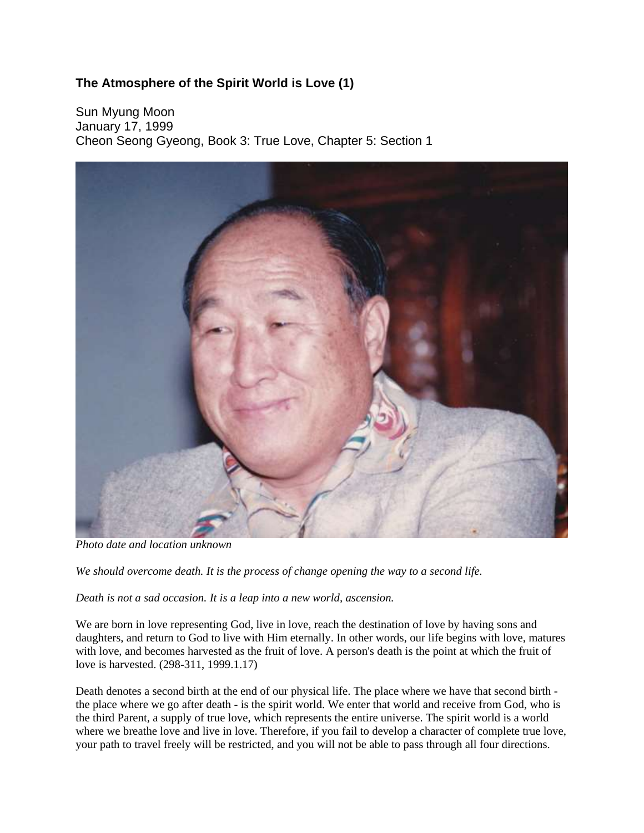## **The Atmosphere of the Spirit World is Love (1)**

Sun Myung Moon January 17, 1999 Cheon Seong Gyeong, Book 3: True Love, Chapter 5: Section 1



*Photo date and location unknown*

*We should overcome death. It is the process of change opening the way to a second life.* 

*Death is not a sad occasion. It is a leap into a new world, ascension.* 

We are born in love representing God, live in love, reach the destination of love by having sons and daughters, and return to God to live with Him eternally. In other words, our life begins with love, matures with love, and becomes harvested as the fruit of love. A person's death is the point at which the fruit of love is harvested. (298-311, 1999.1.17)

Death denotes a second birth at the end of our physical life. The place where we have that second birth the place where we go after death - is the spirit world. We enter that world and receive from God, who is the third Parent, a supply of true love, which represents the entire universe. The spirit world is a world where we breathe love and live in love. Therefore, if you fail to develop a character of complete true love, your path to travel freely will be restricted, and you will not be able to pass through all four directions.